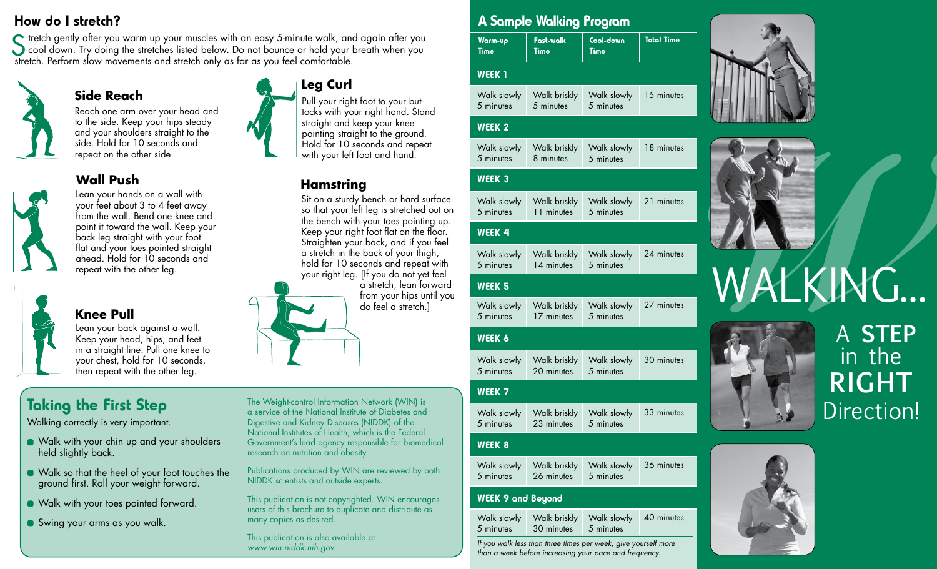#### How do I stretch?

tretch gently after you warm up your muscles with an easy 5-minute walk, and again after you S tretch gently after you warm up your muscles with an easy 5-minute walk, and again after you<br>
cool down. Try doing the stretches listed below. Do not bounce or hold your breath when you<br>
stratch. Berform claus movements stretch. Perform slow movements and stretch only as far as you feel comfortable.



# **Wall Push**

**Side Reach**



Lean your hands on a wall with your feet about 3 to 4 feet away from the wall. Bend one knee and point it toward the wall. Keep your back leg straight with your foot flat and your toes pointed straight ahead. Hold for 10 seconds and repeat with the other leg.

Reach one arm over your head and to the side. Keep your hips steady and your shoulders straight to the side. Hold for 10 seconds and repeat on the other side.



**Knee Pull**

Lean your back against a wall. Keep your head, hips, and feet in a straight line. Pull one knee to your chest, hold for 10 seconds, then repeat with the other leg.

## Taking the First Step

Walking correctly is very important.

- Walk with your chin up and your shoulders held slightly back.
- Walk so that the heel of your foot touches the ground first. Roll your weight forward.
- **Walk with your toes pointed forward.**
- Swing your arms as you walk.

**Leg Curl**

Pull your right foot to your buttocks with your right hand. Stand straight and keep your knee pointing straight to the ground. Hold for 10 seconds and repeat with your left foot and hand.

### **Hamstring**

Sit on a sturdy bench or hard surface so that your left leg is stretched out on the bench with your toes pointing up. Keep your right foot flat on the floor. Straighten your back, and if you feel a stretch in the back of your thigh, hold for 10 seconds and repeat with your right leg. [If you do not yet feel

a stretch, lean forward from your hips until you do feel a stretch.]



The Weight-control Information Network (WIN) is a service of the National Institute of Diabetes and Digestive and Kidney Diseases (NIDDK) of the National Institutes of Health, which is the Federal Government's lead agency responsible for biomedical research on nutrition and obesity.

Publications produced by WIN are reviewed by both NIDDK scientists and outside experts.

This publication is not copyrighted. WIN encourages users of this brochure to duplicate and distribute as many copies as desired.

This publication is also available at *www.win.niddk.nih.gov.*

#### A Sample Walking Program

| Warm-up     | Fast-walk | Cool-down | <b>Total Time</b> |
|-------------|-----------|-----------|-------------------|
| <b>Time</b> | Time      | Time      |                   |

#### WEEK<sub>1</sub>

|           | Walk slowly   Walk briskly   Walk slowly   15 minutes |           |  |
|-----------|-------------------------------------------------------|-----------|--|
| 5 minutes | $5$ minutes                                           | 5 minutes |  |

#### WEEK 2

Walk slowly 5 minutes Walk briskly 8 minutes Walk slowly 5 minutes 18 minutes

#### WEEK 3

|           |                      | Walk slowly   Walk briskly   Walk slowly   21 minutes |  |
|-----------|----------------------|-------------------------------------------------------|--|
| 5 minutes | 11 minutes 5 minutes |                                                       |  |

#### WEEK 4

| Walk slowly | Walk briskly Walk slowly | 24 minutes |
|-------------|--------------------------|------------|
| 5 minutes   | 14 minutes 5 minutes     |            |

#### WEEK 5

|           | Walk slowly   Walk briskly   Walk slowly   27 minutes |  |
|-----------|-------------------------------------------------------|--|
| 5 minutes | 17 minutes 5 minutes                                  |  |

#### WEEK 6

Walk slowly 5 minutes Walk briskly Walk slowly 30 minutes 20 minutes 5 minutes

#### WEEK 7

| Walk slowly |                      | Walk briskly Walk slowly 33 minutes |  |
|-------------|----------------------|-------------------------------------|--|
| 5 minutes   | 23 minutes 5 minutes |                                     |  |

#### WEEK 8

|           |                      | Walk slowly   Walk briskly   Walk slowly   36 minutes |  |
|-----------|----------------------|-------------------------------------------------------|--|
| 5 minutes | 26 minutes 5 minutes |                                                       |  |

#### WEEK 9 and Beyond

| Walk slowly | Walk briskly Walk slowly | 40 minutes |
|-------------|--------------------------|------------|
| 5 minutes   | 30 minutes 5 minutes     |            |

*If you walk less than three times per week, give yourself more than a week before increasing your pace and frequency.*





# WALKING...



# A **STEP** in the **RIGHT** Direction!